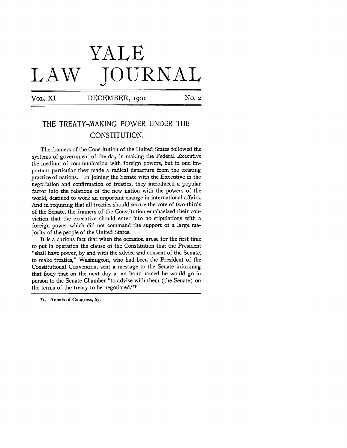## YALE LAW **JOURNAL**

Vol. XI **DECEMBER**, **1901** No. 2

## THE TREATY-MAKING POWER **UNDER** THE **CONSTITUTION.**

The framers of the Constitution of the United States followed the systems of government of the day in making the Federal Executive the medium of communication with foreign powers, but in one important particular they made a radical departure from the existing practice of nations. In joining the Senate with the Executive in the negotiation and confirmation of treaties, they introduced a popular factor into the relations of the new nation with the powers of the world, destined to work an important change in international affairs. And in requiring that all treaties should secure the vote of two-thirds of the Senate, the framers of the Constitution emphasized their conviction that the executive should enter into no stipulations with a foreign power which did not command the support of a large majority of the people of the United States.

It is a curious fact that when the occasion arose for the first time to put in operation the clause of the Constitution that the President "shall have power, by and with the advice and consent of the Senate, to make treaties," Washington, who had been the President of the Constitutional Convention, sent a message to the Senate informing that body that on the next day at an hour named he would go in person to the Senate Chamber "to advise with them (the Senate) on the terms of the treaty to be negotiated."\*

<sup>\*</sup>i. Annals of Congress, **67.**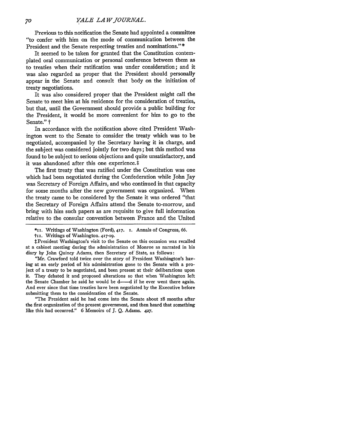Previous to this notification the Senate had appointed a committee "to confer with him on the mode of communication between the President and the Senate respecting treaties and nominations."\*

It seemed to be taken for granted that the Constitution contemplated oral communication or personal conference between them as to treaties when their ratification was under consideration; and it was also regarded as proper that the President should personally appear in the Senate and consult that body on the initiation of treaty negotiations.

It was also considered proper that the President might call the Senate to meet him at his residence for the consideration of treaties, but that, until the Government should provide a public building for the President, it would be more convenient for him to go to the Senate." †

In accordance with the notification above cited President Washington went to the Senate to consider the treaty which was to be negotiated, accompanied by the Secretary having it in charge, and the subject was considered jointly for two days; but this method was found to be subject to serious objections and quite unsatisfactory, and it was abandoned after this one experience.<sup>‡</sup>

The first treaty that was ratified under the Constitution was one which had been negotiated during the Confederation while John Jay was Secretary of Foreign Affairs, and who continued in that capacity for some months after the new government was organized. When the treaty came to be considered by the Senate it was ordered "that the Secretary of Foreign Affairs attend the Senate to-morrow, and bring with him such papers as are requisite to give full information relative to the consular convention between France and the United

"Mr. Crawford told twice over the story of President Washington's having at an early period of his administration gone to the Senate with a project of a treaty to be negotiated, and been present at their deliberations upon it. They debated it and proposed alterations so that when Washington left the Senate Chamber he said he would be d--- d if he ever went there again. And ever since that time treaties have been negotiated by the Executive before submitting them to the consideration of the Senate.

"The President said he had come into the Senate about 18 months after the first organization of the present government, and then heard that something like this had occurred." 6 Memoirs of J. Q. Adams. 427.

**<sup>\*</sup>ii.** Writings of Washington (Ford), 417. 1. Annals of Congress, 66. tii. Writings of Washington. **417-19.**

tPresident Washington's visit to the Senate on this occasion was recalled at a cabinet meeting during the administration of Monroe as narrated in his diary by John Quincy Adams, then Secretary of State, as follows: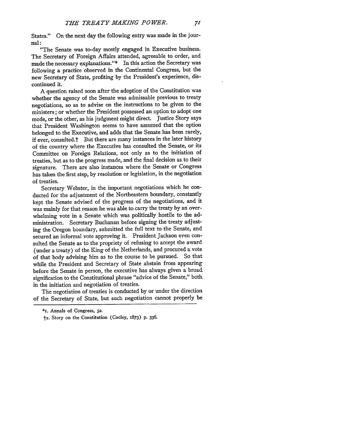States." On the next day the following entry was made in the journal:

"The Senate was to-day mostly engaged in Executive business. The Secretary of Foreign Affairs attended, agreeable to order, and made the necessary explanations."\* In this action the Secretary was following a practice observed in the Continental Congress, but the new Secretary of State, profiting by the President's experience, discontinued it.

A question raised soon after the adoption of the Constitution was whether the agency of the Senate was admissable previous to treaty negotiations, so as to advise on the instructions to be given to the ministers; or whether the President possessed an option to adopt one mode, or the other, as his judgment might direct. Justice Story says that President Washington seems to have assumed that the option belonged to the Executive, and adds that the Senate has been rarely, if ever, consulted.† But there are many instances in the later history of the country where the Executive has consulted the Senate, or its Committee on Foreign Relations, not only as to the initiation of treaties, but as to the progress made, and the final decision as to their signature. There are also instances where the Senate or Congress has taken the first step, by resolution or legislation, in the negotiation of treaties.

Secretary Webster, in the important negotiations which he conducted for the adjustment of the Northeastern boundary, constantly kept the Senate advised of the progress of the negotiations, and it was mainly for that reason he was able to carry the treaty by an overwhelming vote in a Senate which was politically hostile to the administration. Secretary Buchanan before signing the treaty adjusting the Oregon boundary, submitted the full text to the Senate, and secured an informal vote approving it. President Jackson even consulted the Senate as to the propriety of refusing to accept the award (under a treaty) of the King of the Netherlands, and procured a vote of that body advising him as to the course to be pursued. So that while the President and Secretary of State abstain from appearing before the Senate in person, the executive has always given a broad. signification to the Constitutional phrase "advice of the Senate," both in the initiation and negotiation of treaties.

The negotiation of treaties is conducted by or under the direction of the Secretary of State, but such negotiation cannot properly be

**<sup>\*1.</sup>** Annals of Congress, **52.**

t2. Story on the Constitution (Cooley, 1873) p. 336.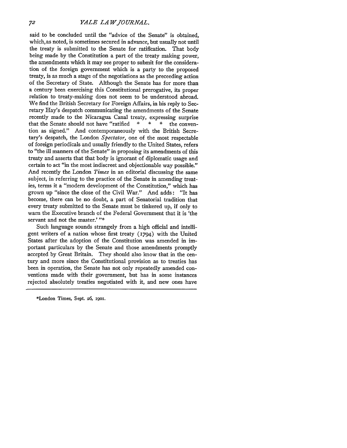said to be concluded until the "advice of the Senate" is obtained, which, as noted, is sometimes secured in advance, but usually not until the treaty is submitted to the Senate for ratification. That body being made **by** the Constitution a part of the treaty making power, the amendments which it may see proper to submit for the consideration of the foreign government which is a party to the proposed treaty, is as much a stage of the negotiations as the preceeding action of the Secretary of State. Although the Senate has for more than a century been exercising this Constitutional prerogative, its proper relation to treaty-making does not seem to be understood abroad. We find the British Secretary for Foreign Affairs, in his reply to Secretary Hay's despatch communicating the amendments of the Senate recently made to the Nicaragua Canal treaty, expressing surprise that the Senate should not have "ratified **\* \* \*** the convention as signed." And contemporaneously with the British Secretary's despatch, the London *Spectator,* one of the most respectable of foreign periodicals and usually friendly to the United States, refers to "the ill manners of the Senate" in proposing its amendments of this treaty and asserts that that body is ignorant of diplomatic usage and certain to act "in the most indiscreet and objectionable way possible." And recently the London *Times* in an editorial discussing the same subject, in referring to the practice of the Senate in amending treaties, terms it a "modern development of the Constitution," which has grown up "since the close of the Civil War." And adds: "It has become, there can be no doubt, a part of Senatorial tradition that every treaty submitted to the Senate must be tinkered up, if only to warn the Executive branch of the Federal Government that it is 'the servant and not the master.' **"\***

Such language sounds strangely from a high official and intelligent writers of a nation whose first treaty (1794) with the United States after the adoption of the Constitution was amended in important particulars by the Senate and those amendments promptly accepted by Great Britain. They should also know that in the century and more since the Constitutional provision as to treaties has been in operation, the Senate has not only repeatedly amended conventions made with their government, but has in some instances rejected absolutely treaties negotiated with it, and new ones have

\*London Times, Sept. **26, 19Ol.**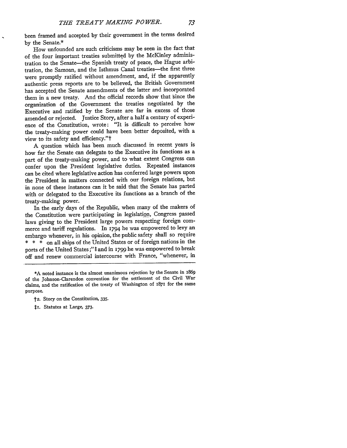been framed and accepted by their government in the terms desired by the Senate.\*

How unfounded are such criticisms may be seen in the fact that of the four important treaties submitted by the McKinley administration to the Senate-the Spanish treaty of peace, the Hague arbitration, the Samoan, and the Isthmus Canal treaties-the first three were promptly ratified without amendment, and, if the apparently authentic press reports are to be believed, the British Government has accepted the Senate amendments of the latter and incorporated them in a new treaty. And the official records show that since the organization of the Government the treaties negotiated by the Executive and ratified by the Senate are far in excess of those amended or rejected. Justice Story, after a half a century of experience of the Constitution, wrote: "It is difficult to perceive how the treaty-making power could have been better deposited, with a view to its safety and efficiency."t

A question which has "been much discussed in recent years is how far the Senate can delegate to the Executive its functions as a part of the treaty-making power, and to what extent Congress can confer upon the President legislative duties. Repeated instances can be cited where legislative action has conferred large powers upon the President in matters connected with our foreign relations, but in none of these instances can it be said that the Senate has parted with or delegated to the Executive its functions as a branch of the treaty-making power.

In the early days of the Republic, when many of the makers of the Constitution were participating in legislation, Congress passed laws giving to the President large powers respecting foreign commerce and tariff regulations. In 1794 he was empowered to levy an embargo whenever, in his opinion, the public safety shall so require **\* \* \*** on all ships of the United States or of foreign nations in the ports of the United States;" ‡ and in 1799 he was empowered to break off and renew commercial intercourse with France, "whenever, in

 $\ddagger$ I. Statutes at Large, 373.

<sup>\*</sup>A noted instance is the almost unanimous rejection by the Senate in 1869 of the Johnson-Clarendon convention for the settlement of the Civil War claims, and the ratification of the treaty of Washington of 1871 for the same purpose.

t2. Story on the Constitution, 335.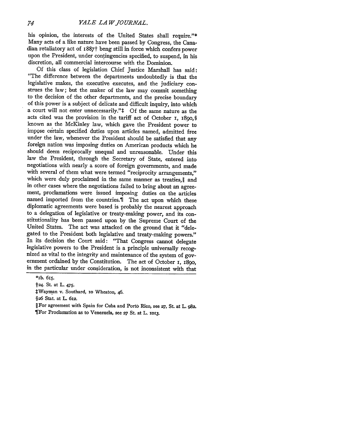his opinion, the interests of the United States shall require."\* Many acts of a like nature have been passed **by** Congress, the Canadian retaliatory act of I887t beng still in force which confers power upon the President, under contingencies specified, to suspend, in his discretion, all commercial intercourse with the Dominion.

Of this class of legislation Chief Justice Marshall has said: "The difference between the departments undoubtedly is that the legislative makes, the executive executes, and the judiciary construes the law; but the maker of the law may commit something to the decision of the other departments, and the precise boundary of this power is a subject of delicate and difficult inquiry, into which a court will not enter unnecessarily."I Of the same nature as the acts cited was the provision in the tariff act of October I, I89o,§ known as the McKinley law, which gave the President power to impQse certain specified duties upon articles named, admitted free under the law, whenever the President should be satisfied that any foreign nation was imposing duties on American products which he should deem reciprocally unequal and unreasonable. Under this law the President, through the Secretary of State, entered into negotiations with nearly a score of foreign governments, and made with several of them what were termed "reciprocity arrangements." which were duly proclaimed in the same manner as treaties, and in other cases where the negotiations failed to bring about an agreement, proclamations were issued imposing duties on the articles named imported from the countries.1 The act upon which these diplomatic agreements were based is probably the nearest approach to a delegation of legislative or treaty-making power, and its constitutionality has been passed upon **by** the Supreme Court of the United States. The act was attacked on the ground that it "delegated to the President both legislative and treaty-making powers." In its decision the Court said: "That Congress cannot delegate legislative powers to the President is a principle universally recognized as vital to the integrity and maintenance of the system of government ordained **by** the Constitution. The act of October I, i89o, in the particular under consideration, is not inconsistent with that

**<sup>\*</sup>i.** 615.

**t2 <sup>4</sup> .** St. at L. 475.

<sup>.</sup>Wayman v. Southard, io Wheaton, 46.

**<sup>§26</sup>** Stat. at L. 612.

**<sup>0</sup>**For agreement with Spain for Cuba and Portb Rico, see *27,* St. at L. **982.** For Proclamation as to Venezuela, see **27** St. at L. **1013.**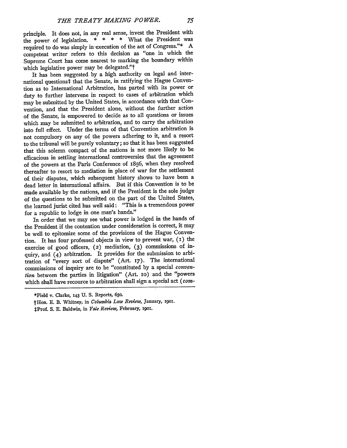principle. It does not, in any real sense, invest the President with the power of legislation. **\* \* \* \*** What the President was required to do was simply in-execution of the act of Congress."\* A competent writer refers to this decision as "one in which the Supreme Court has come nearest to marking the boundary within which legislative power may be delegated."t

It has been suggested by a high authority on legal and international questionst that the Senate, in ratifying the Hague Convention as to International Arbitration, has parted with its power or duty to further intervene in respect to cases of arbitration which may be submitted by the United States, in accordance with that Convention, and that the President alone, without the further action of the Senate, is empowered to decide as to all questions or issues which may be submitted to arbitration, and to carry the arbitration into full effect. Under the terms of that Convention arbitration is not compulsory on any of the powers adhering to it, and a resort to the tribunal will be purely voluntary; so that it has been suggested that this solemn compact of the nations is not more likely to be efficacious in settling international controversies that the agreement of the powers at the Paris Conference of 1856, when they resolved thereafter to resort to mediation in place of war for the settlement of their disputes, which subsequent history shows to have been a dead letter in international affairs. But if this Convention is to be made available by the nations, and if the President is the sole judge of the questions to be submitted on the part of the United States, the learned jurist cited has well said: "This is a tremendous power for a republic to lodge in one man's hands."

In order that we may see what power is lodged in the hands of the President if the contention under consideration is correct, it may be well to epitomize some of the provisions of the Hague Convention. It has four professed objects in view to prevent war, (i) the exercise of good officers, **(2)** mediation, (3) commissions of inquiry, and (4) arbitration. It provides for the submission to arbitration of "every sort of dispute" (Art. 17). The international commissions of inquiry are to be "constituted by a special convention between the parties in litigation" (Art. io) and the "powers which shall have recource to arbitration shall sign a special act *(corn-*

tProf. **S. E.** Baldwin, in *Yale Review,* February, **xgoi.**

<sup>\*</sup>Field **v.** Clarke, **143 U. S.** Reports, 65o.

tHon. **E.** B. Whitney, in *Columbia Law Review,* **January, i9o.**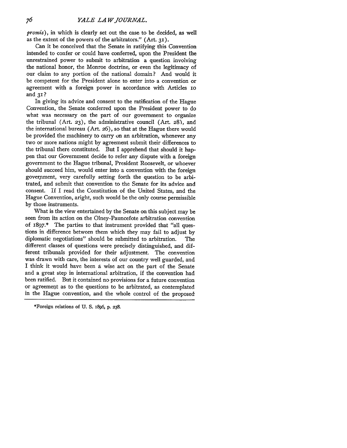*promis),* in which is clearly set out the case to be decided, as well as the extent of the powers of the arbitrators." (Art. **31).**

Can it **be** conceived that the Senate in ratifying this Convention intended to confer or could have conferred, upon the President the unrestrained power to submit to arbitration a question involving the national honor, the Monroe doctrine, or even the legitimacy of our claim to any portion of the national domain? And would it be competent for the President alone to enter into a convention or agreement with a foreign power in accordance with Articles **io** and **31?**

In giving its advice and consent to the ratification of the Hague Convention, the Senate conferred upon the President power to do what was necessary on the part of our government to organize the tribunal (Art. **23),** the administrative council (Art. 28), and the international bureau (Art. **26),** so that at the Hague there would be provided the machinery to carry on an arbitration, whenever any two or more nations might by agreement submit their differences to the tribunal there constituted. But I apprehend that should it happen that our Government decide to refer any dispute with a foreign government to the Hague tribunal, President Roosevelt, or whoever should succeed him, would enter into a convention with the foreign government, very carefully setting forth the question to be arbitrated, and submit that convention to the Senate for its advice and consent. If I read the Constitution of the United States, and the Hague Convention, aright, such would be the only course permissible by those instruments.

What is the view entertained by the Senate on this subject may be seen from its action on the Olney-Pauncefote arbitration convention of 1897.\* The parties to that instrument provided that "all questions in difference between them which they may fail to adjust **by** diplomatic negotiations" should be submitted to arbitration. The different classes of questions were precisely distinguished, and different tribunals provided for their adjustment. The convention was drawn with care, the interests of our country well guarded, and I think it would have been a wise act on the part of the Senate and a great step in international arbitration, if the convention had been ratified. But it contained no provisions for a future convention or agreement as to the questions to be arbitrated, as contemplated in the Hague convention, and the whole control of the proposed

<sup>\*</sup>Foreign relations of **U. S.** 1896, **p. 238.**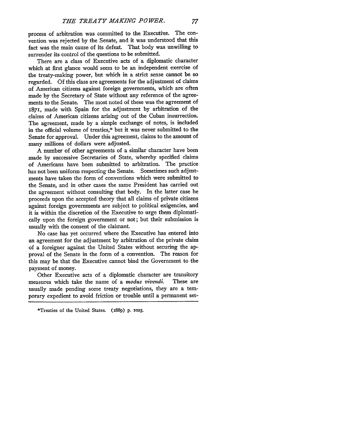process of arbitration was committed to the Executive. The convention was rejected by the Senate, and it was understood that this fact was the main cause of its defeat. That body was unwilling to surrender its control of the questions to be submitted.

There are a class of Executive acts of a diplomatic character which at first glance would seem to be an independent exercise of the treaty-making power, but which in a strict sense cannot be so regarded. Of this class are agreements for the adjustment of claims of American citizens against foreign governments, which are often made by the Secretary of State without any reference of the agreements to the Senate. The most noted of these was the agreement of 1871, made with Spain for the adjustment by arbitration of the claims of American citizens arising out of the Cuban insurrection. The agreement, made by a simple exchange of notes, is included in the official volume of treaties,\* but it was never submitted to the Senate for approval. Under this agreement, claims to the amount of many millions of dollars were adjusted.

A number of other agreements of a similar character have been made by successive Secretaries of State, whereby specified claims of Americans have been submitted to arbitration. The practice has not been uniform respecting the Senate. Sometimes such adjustments have taken the form of conventions which were submitted to the Senate, and in other cases the same President has carried out the agreement without consulting that body. In the latter case he proceeds upon the accepted theory that all claims of private citizens against foreign governments are subject to political exigencies, and it is within the discretion of the Executive to urge them diplomatically upon the foreign government or not; but their submission is usually with the consent of the claimant.

No case has yet occurred where the Executive has entered into an agreement for the adjustment by arbitration of the private claim of a foreigner against the United States without securing the approval of the Senate in the form of a convention. The reason for this may be that the Executive cannot bind the Government to the payment of money.

Other Executive acts of a diplomatic character are transitory measures which take the name of a *modus vivendi.* These are usually made pending some treaty negotiations, they are a temporary expedient to avoid friction or trouble until a permanent set-

<sup>\*</sup>Treaties of the United States. (1889) **p. io25.**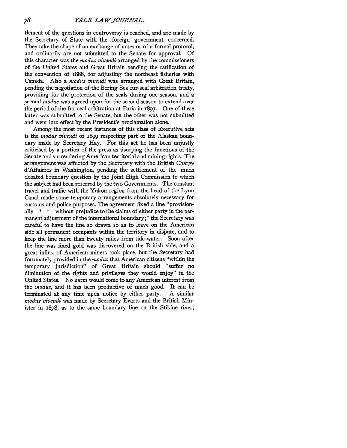tlement of the questions in controversy is reached, and are made by the Secretary of State with the foreign government concerned. They take the shape of an exchange of notes or of a formal protocol, and ordinarily are not submitted to the Senate for approval. Of this character was the *modus vivendi* arranged by the commissioners of the United States and Great Britain pending the ratification of the convention of 1888, for adjusting the northeast fisheries with Canada. Also a *modus vivendi* was arranged with Great Britain, pending the negotiation of the Bering Sea fur-seal arbitration treaty, providing for the protection of the seals during one season, and a second *modus* was agreed upon for the second season to extend over the period of the fur-seal arbitration at Paris in 1893. One of these latter was submitted to the Senate, but the other was not submitted and went into effect by the President's proclamation alone.

Among the most recent instances of this class of Executive acts is the *modus vivendi* of 1899 respecting part of the Alaskan boundary made **by** Secretary Hay. For this act he has been unjustly criticised by a portion of the press as usurping the functions of the Senate and surrendering American territorial and mining rights. The arrangement was affected **by** the Secretary with the British Charge d'Affairres in Washington, pending the settlement of the much debated boundary question **by** the Joint High Commission to which the subject had been referred **by** the two Governments. The constant travel and traffic with the Yukon region from the head of the Lynn Canal made some temporary arrangements absolutely necessary for customs and police purposes. The agreement fixed a line "provisionally **\* \*** without prejudice to the claims of either party in the permanent adjustment of the international boundary ;" the Secretary was careful to have the line so drawn so as to leave on the American side all permanent occupants within the territory in dispute, and to keep the line more than twenty miles from tide-water. Soon after the line was fixed gold was discovered on the British side, and a great influx of American miners took place, but the Secretary had fortunately provided in the *modus* that American citizens "within the temporary jurisdiction" of Great Britain should "suffer no diminution of the rights and privileges they would enjoy" in the United States. No harm would come to any American interest from the *modus*, and it has been productive of much good. It can be terminated at any time upon notice **by** either party. A similar *modus vivendi* was made **by** Secretary Evarts and the British Minister in 1878, as to the same boundary line on the Stikine river,